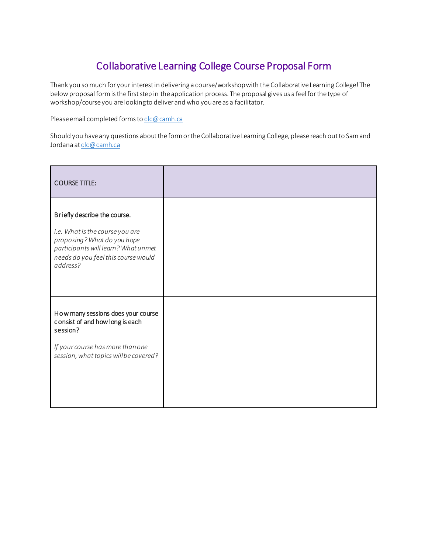## Collaborative Learning College Course Proposal Form

Thank you so much for your interest in delivering a course/workshop with the Collaborative Learning College! The below proposal form is the first step in the application process. The proposal gives us a feel for the type of workshop/course you are looking to deliver and who you are as a facilitator.

Please email completed forms t[o clc@camh.ca](mailto:clc@camh.ca)

Should you have any questions about the form or the Collaborative Learning College, please reach out to Sam and Jordana a[t clc@camh.ca](mailto:clc@camh.ca)

| <b>COURSE TITLE:</b>                                                                                                                                                                     |  |
|------------------------------------------------------------------------------------------------------------------------------------------------------------------------------------------|--|
| Briefly describe the course.<br>i.e. What is the course you are<br>proposing? What do you hope<br>participants will learn? What unmet<br>needs do you feel this course would<br>address? |  |
| How many sessions does your course<br>consist of and how long is each<br>session?<br>If your course has more than one<br>session, what topics will be covered?                           |  |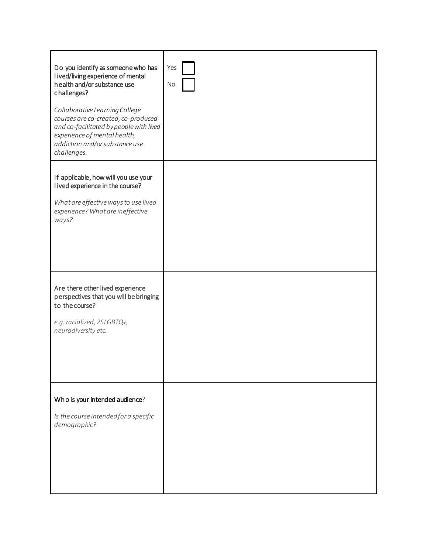| Do you identify as someone who has<br>lived/living experience of mental<br>health and/or substance use<br>challenges?<br>Collaborative Learning College<br>courses are co-created, co-produced<br>and co-facilitated by people with lived<br>experience of mental health,<br>addiction and/or substance use<br>challenges. | Yes<br>No |
|----------------------------------------------------------------------------------------------------------------------------------------------------------------------------------------------------------------------------------------------------------------------------------------------------------------------------|-----------|
| If applicable, how will you use your<br>lived experience in the course?<br>What are effective ways to use lived<br>experience? What are ineffective<br>ways?                                                                                                                                                               |           |
| Are there other lived experience<br>perspectives that you will be bringing<br>to the course?<br>e.g. racialized, 2SLGBTQ+,<br>neurodiversity etc.                                                                                                                                                                          |           |
| Who is your intended audience?<br>Is the course intended for a specific<br>demographic?                                                                                                                                                                                                                                    |           |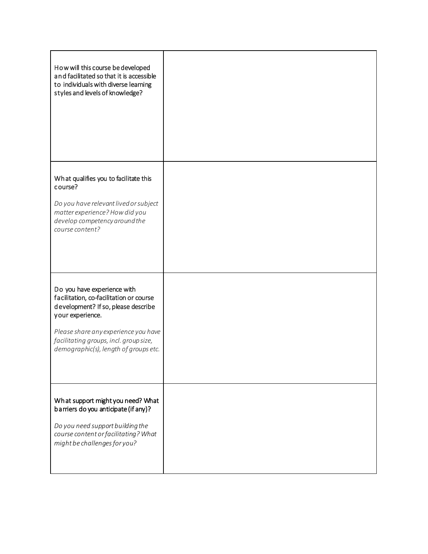| How will this course be developed<br>and facilitated so that it is accessible<br>to individuals with diverse learning<br>styles and levels of knowledge?                                                                                                     |  |
|--------------------------------------------------------------------------------------------------------------------------------------------------------------------------------------------------------------------------------------------------------------|--|
| What qualifies you to facilitate this<br>course?<br>Do you have relevant lived or subject<br>matter experience? How did you<br>develop competency around the<br>course content?                                                                              |  |
| Do you have experience with<br>facilitation, co-facilitation or course<br>development? If so, please describe<br>your experience.<br>Please share any experience you have<br>facilitating groups, incl. group size,<br>demographic(s), length of groups etc. |  |
| What support might you need? What<br>barriers do you anticipate (if any)?<br>Do you need support building the<br>course content or facilitating? What<br>might be challenges for you?                                                                        |  |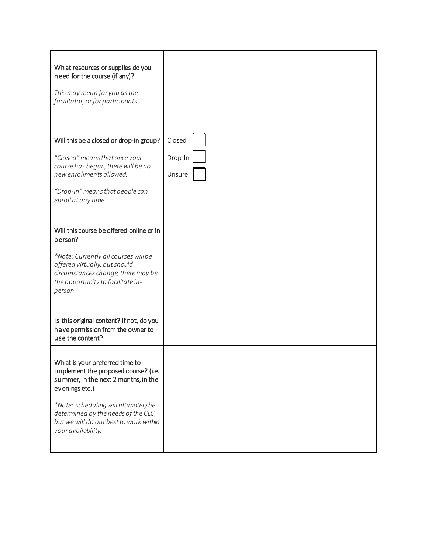| What resources or supplies do you<br>need for the course (if any)?<br>This may mean for you as the<br>facilitator, or for participants.                                                                                                                                         |                             |
|---------------------------------------------------------------------------------------------------------------------------------------------------------------------------------------------------------------------------------------------------------------------------------|-----------------------------|
| Will this be a closed or drop-in group?<br>"Closed" means that once your<br>course has begun, there will be no<br>new enrollments allowed.<br>"Drop-in" means that people can<br>enroll at any time.                                                                            | Closed<br>Drop-In<br>Unsure |
| Will this course be offered online or in<br>person?<br>*Note: Currently all courses willbe<br>offered virtually, but should<br>circumstances change, there may be<br>the opportunity to facilitate in-<br>person.                                                               |                             |
| Is this original content? If not, do you<br>have permission from the owner to<br>use the content?                                                                                                                                                                               |                             |
| What is your preferred time to<br>implement the proposed course? (i.e.<br>summer, in the next 2 months, in the<br>evenings etc.)<br>*Note: Scheduling will ultimately be<br>determined by the needs of the CLC,<br>but we will do our best to work within<br>your availability. |                             |